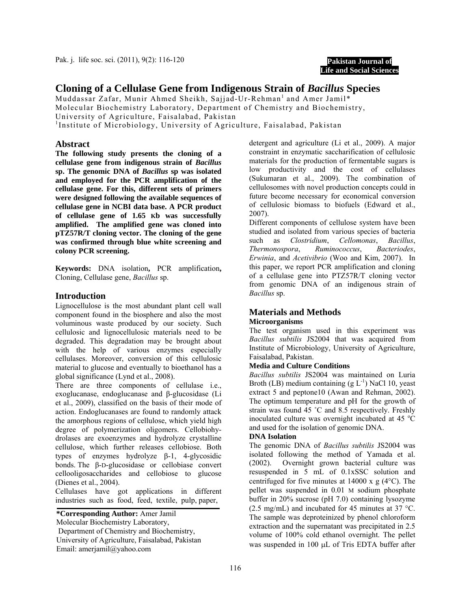Pak. j. life soc. sci. (2011), 9(2): 116-120



# **Cloning of a Cellulase Gene from Indigenous Strain of** *Bacillus* **Species**

Muddassar Zafar, Munir Ahmed Sheikh, Sajjad-Ur-Rehman<sup>1</sup> and Amer Jamil\* Molecular Biochemistry Laboratory, Department of Chemistry and Biochemistry, University of Agriculture, Faisalabad, Pakistan

<sup>1</sup>Institute of Microbiology, University of Agriculture, Faisalabad, Pakistan

## **Abstract**

**The following study presents the cloning of a cellulase gene from indigenous strain of** *Bacillus* **sp. The genomic DNA of** *Bacillus* **sp was isolated and employed for the PCR amplification of the cellulase gene. For this, different sets of primers were designed following the available sequences of cellulase gene in NCBI data base. A PCR product of cellulase gene of 1.65 Kb was successfully amplified. The amplified gene was cloned into pTZ57R/T cloning vector. The cloning of the gene was confirmed through blue white screening and colony PCR screening.** 

**Keywords:** DNA isolation**,** PCR amplification**,**  Cloning, Cellulase gene, *Bacillus* sp.

## **Introduction**

Lignocellulose is the most abundant plant cell wall component found in the biosphere and also the most voluminous waste produced by our society. Such cellulosic and lignocellulosic materials need to be degraded. This degradation may be brought about with the help of various enzymes especially cellulases. Moreover, conversion of this cellulosic material to glucose and eventually to bioethanol has a global significance (Lynd et al., 2008).

There are three components of cellulase i.e., exoglucanase, endoglucanase and β-glucosidase (Li et al., 2009), classified on the basis of their mode of action. Endoglucanases are found to randomly attack the amorphous regions of cellulose, which yield high degree of polymerization oligomers. Cellobiohydrolases are exoenzymes and hydrolyze crystalline cellulose, which further releases cellobiose. Both types of enzymes hydrolyze β-1, 4-glycosidic bonds. The β-D-glucosidase or cellobiase convert cellooligosaccharides and cellobiose to glucose (Dienes et al., 2004).

Cellulases have got applications in different industries such as food, feed, textile, pulp, paper,

**\*Corresponding Author:** Amer Jamil Molecular Biochemistry Laboratory, Department of Chemistry and Biochemistry, University of Agriculture, Faisalabad, Pakistan Email: amerjamil@yahoo.com

detergent and agriculture (Li et al., 2009). A major constraint in enzymatic saccharification of cellulosic materials for the production of fermentable sugars is low productivity and the cost of cellulases (Sukumaran et al., 2009). The combination of cellulosomes with novel production concepts could in future become necessary for economical conversion of cellulosic biomass to biofuels (Edward et al., 2007).

Different components of cellulose system have been studied and isolated from various species of bacteria such as *Clostridium*, *Cellomonas*, *Bacillus*, *Thermonospora*, *Ruminococcus*, *Bacteriodes*, *Erwinia*, and *Acetivibrio* (Woo and Kim, 2007). In this paper, we report PCR amplification and cloning of a cellulase gene into PTZ57R/T cloning vector from genomic DNA of an indigenous strain of *Bacillus* sp.

# **Materials and Methods**

## **Microorganisms**

The test organism used in this experiment was *Bacillus subtilis* JS2004 that was acquired from Institute of Microbiology, University of Agriculture, Faisalabad, Pakistan.

#### **Media and Culture Conditions**

*Bacillus subtilis* JS2004 was maintained on Luria Broth (LB) medium containing  $(g L^{-1})$  NaCl 10, yeast extract 5 and peptone10 (Awan and Rehman, 2002). The optimum temperature and pH for the growth of strain was found 45 ˚C and 8.5 respectively. Freshly inoculated culture was overnight incubated at 45 $\degree$ C and used for the isolation of genomic DNA.

#### **DNA Isolation**

The genomic DNA of *Bacillus subtilis* JS2004 was isolated following the method of Yamada et al. (2002). Overnight grown bacterial culture was resuspended in 5 mL of 0.1xSSC solution and centrifuged for five minutes at  $14000 \times g$  (4 $\degree$ C). The pellet was suspended in 0.01 M sodium phosphate buffer in 20% sucrose (pH 7.0) containing lysozyme (2.5 mg/mL) and incubated for 45 minutes at 37 °C. The sample was deproteinized by phenol chloroform extraction and the supernatant was precipitated in 2.5 volume of 100% cold ethanol overnight. The pellet was suspended in 100 µL of Tris EDTA buffer after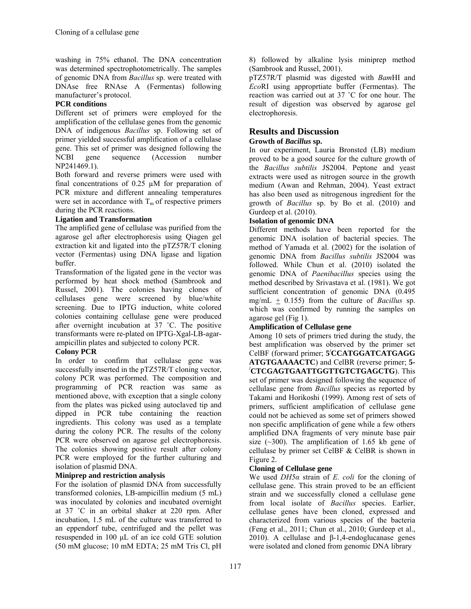washing in 75% ethanol. The DNA concentration was determined spectrophotometrically. The samples of genomic DNA from *Bacillus* sp. were treated with DNAse free RNAse A (Fermentas) following manufacturer's protocol.

## **PCR conditions**

Different set of primers were employed for the amplification of the cellulase genes from the genomic DNA of indigenous *Bacillus* sp. Following set of primer yielded successful amplification of a cellulase gene. This set of primer was designed following the NCBI gene sequence (Accession number NP241469.1).

Both forward and reverse primers were used with final concentrations of 0.25 µM for preparation of PCR mixture and different annealing temperatures were set in accordance with  $T_m$  of respective primers during the PCR reactions.

## **Ligation and Transformation**

The amplified gene of cellulase was purified from the agarose gel after electrophoresis using Qiagen gel extraction kit and ligated into the pTZ57R/T cloning vector (Fermentas) using DNA ligase and ligation buffer.

Transformation of the ligated gene in the vector was performed by heat shock method (Sambrook and Russel, 2001). The colonies having clones of cellulases gene were screened by blue/white screening. Due to IPTG induction, white colored colonies containing cellulase gene were produced after overnight incubation at 37 ˚C. The positive transformants were re-plated on IPTG-Xgal-LB-agarampicillin plates and subjected to colony PCR.

## **Colony PCR**

In order to confirm that cellulase gene was successfully inserted in the pTZ57R/T cloning vector, colony PCR was performed. The composition and programming of PCR reaction was same as mentioned above, with exception that a single colony from the plates was picked using autoclaved tip and dipped in PCR tube containing the reaction ingredients. This colony was used as a template during the colony PCR. The results of the colony PCR were observed on agarose gel electrophoresis. The colonies showing positive result after colony PCR were employed for the further culturing and isolation of plasmid DNA.

## **Miniprep and restriction analysis**

For the isolation of plasmid DNA from successfully transformed colonies, LB-ampicillin medium (5 mL) was inoculated by colonies and incubated overnight at 37 ˚C in an orbital shaker at 220 rpm. After incubation, 1.5 mL of the culture was transferred to an eppendorf tube, centrifuged and the pellet was resuspended in 100 µL of an ice cold GTE solution (50 mM glucose; 10 mM EDTA; 25 mM Tris Cl, pH

8) followed by alkaline lysis miniprep method (Sambrook and Russel, 2001).

pTZ57R/T plasmid was digested with *Bam*HI and *Eco*RI using approprtiate buffer (Fermentas). The reaction was carried out at 37 ˚C for one hour. The result of digestion was observed by agarose gel electrophoresis.

# **Results and Discussion**

#### **Growth of** *Bacillus* **sp.**

In our experiment, Lauria Bronsted (LB) medium proved to be a good source for the culture growth of the *Bacillus subtilis* JS2004. Peptone and yeast extracts were used as nitrogen source in the growth medium (Awan and Rehman, 2004). Yeast extract has also been used as nitrogenous ingredient for the growth of *Bacillus* sp. by Bo et al. (2010) and Gurdeep et al. (2010).

## **Isolation of genomic DNA**

Different methods have been reported for the genomic DNA isolation of bacterial species. The method of Yamada et al. (2002) for the isolation of genomic DNA from *Bacillus subtilis* JS2004 was followed. While Chun et al. (2010) isolated the genomic DNA of *Paenibacillus* species using the method described by Srivastava et al. (1981). We got sufficient concentration of genomic DNA (0.495 mg/mL + 0.155) from the culture of *Bacillus* sp. which was confirmed by running the samples on agarose gel (Fig 1).

## **Amplification of Cellulase gene**

Among 10 sets of primers tried during the study, the best amplification was observed by the primer set CelBF (forward primer; **5/ CCATGGATCATGAGG ATGTGAAAACTC**) and CelBR (reverse primer; **5- / CTCGAGTGAATTGGTTGTCTGAGCTG**). This set of primer was designed following the sequence of cellulase gene from *Bacillus* species as reported by Takami and Horikoshi (1999). Among rest of sets of primers, sufficient amplification of cellulase gene could not be achieved as some set of primers showed non specific amplification of gene while a few others amplified DNA fragments of very minute base pair size  $(\sim 300)$ . The amplification of 1.65 kb gene of cellulase by primer set CelBF & CelBR is shown in Figure 2.

## **Cloning of Cellulase gene**

We used *DH5α* strain of *E. coli* for the cloning of cellulase gene. This strain proved to be an efficient strain and we successfully cloned a cellulase gene from local isolate of *Bacillus* species. Earlier, cellulase genes have been cloned, expressed and characterized from various species of the bacteria (Feng et al., 2011; Chun et al., 2010; Gurdeep et al., 2010). A cellulase and β-1,4-endoglucanase genes were isolated and cloned from genomic DNA library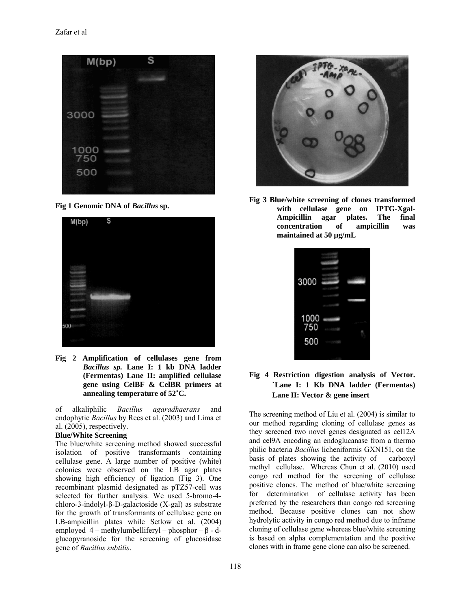

**Fig 1 Genomic DNA of** *Bacillus* **sp.** 



**Fig 2 Amplification of cellulases gene from**  *Bacillus sp.* **Lane I: 1 kb DNA ladder (Fermentas) Lane II: amplified cellulase gene using CelBF & CelBR primers at annealing temperature of 52˚C.** 

of alkaliphilic *Bacillus agaradhaerans* and endophytic *Bacillus* by Rees et al. (2003) and Lima et al. (2005), respectively.

#### **Blue/White Screening**

The blue/white screening method showed successful isolation of positive transformants containing cellulase gene. A large number of positive (white) colonies were observed on the LB agar plates showing high efficiency of ligation (Fig 3). One recombinant plasmid designated as pTZ57-cell was selected for further analysis. We used 5-bromo-4 chloro-3-indolyl-β-D-galactoside (X-gal) as substrate for the growth of transformants of cellulase gene on LB-ampicillin plates while Setlow et al. (2004) employed  $4$  – methylumbelliferyl – phosphor – β - dglucopyranoside for the screening of glucosidase gene of *Bacillus subtilis*.



**Fig 3 Blue/white screening of clones transformed with cellulase gene on IPTG-Xgal-Ampicillin agar plates. The final concentration of ampicillin was maintained at 50 µg/mL** 

| 3000        |  |
|-------------|--|
|             |  |
| 1000<br>750 |  |
| 500         |  |
|             |  |

**Fig 4 Restriction digestion analysis of Vector. `Lane I: 1 Kb DNA ladder (Fermentas) Lane II: Vector & gene insert** 

The screening method of Liu et al. (2004) is similar to our method regarding cloning of cellulase genes as they screened two novel genes designated as cel12A and cel9A encoding an endoglucanase from a thermo philic bacteria *Bacillus* licheniformis GXN151, on the basis of plates showing the activity of carboxyl methyl cellulase. Whereas Chun et al. (2010) used congo red method for the screening of cellulase positive clones. The method of blue/white screening for determination of cellulase activity has been preferred by the researchers than congo red screening method. Because positive clones can not show hydrolytic activity in congo red method due to inframe cloning of cellulase gene whereas blue/white screening is based on alpha complementation and the positive clones with in frame gene clone can also be screened.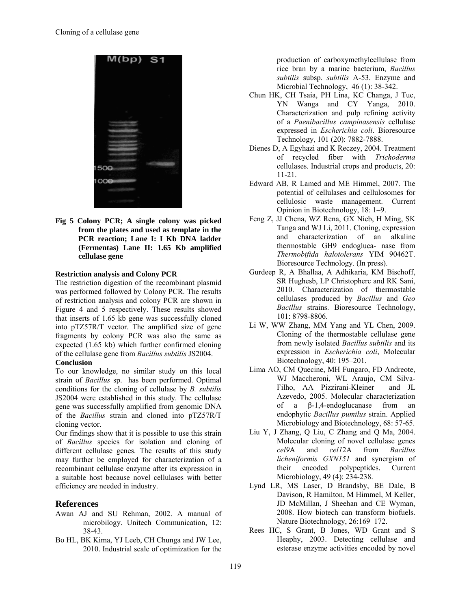

**Fig 5 Colony PCR; A single colony was picked from the plates and used as template in the PCR reaction; Lane I: I Kb DNA ladder (Fermentas) Lane II: 1.65 Kb amplified cellulase gene** 

#### **Restriction analysis and Colony PCR**

The restriction digestion of the recombinant plasmid was performed followed by Colony PCR. The results of restriction analysis and colony PCR are shown in Figure 4 and 5 respectively. These results showed that inserts of 1.65 kb gene was successfully cloned into pTZ57R/T vector. The amplified size of gene fragments by colony PCR was also the same as expected (1.65 kb) which further confirmed cloning of the cellulase gene from *Bacillus subtilis* JS2004. **Conclusion** 

To our knowledge, no similar study on this local strain of *Bacillus* sp. has been performed. Optimal conditions for the cloning of cellulase by *B. subtilis* JS2004 were established in this study. The cellulase gene was successfully amplified from genomic DNA of the *Bacillus* strain and cloned into pTZ57R/T cloning vector.

Our findings show that it is possible to use this strain of *Bacillus* species for isolation and cloning of different cellulase genes. The results of this study may further be employed for characterization of a recombinant cellulase enzyme after its expression in a suitable host because novel cellulases with better efficiency are needed in industry.

## **References**

- Awan AJ and SU Rehman, 2002. A manual of microbilogy. Unitech Communication, 12: 38-43.
- Bo HL, BK Kima, YJ Leeb, CH Chunga and JW Lee, 2010. Industrial scale of optimization for the

production of carboxymethylcellulase from rice bran by a marine bacterium, *Bacillus subtilis* subsp. *subtilis* A-53. Enzyme and Microbial Technology, 46 (1): 38-342.

- Chun HK, CH Tsaia, PH Lina, KC Changa, J Tuc, YN Wanga and CY Yanga, 2010. Characterization and pulp refining activity of a *Paenibacillus campinasensis* cellulase expressed in *Escherichia coli*. Bioresource Technology, 101 (20): 7882-7888.
- Dienes D, A Egyhazi and K Reczey, 2004. Treatment of recycled fiber with *Trichoderma* cellulases. Industrial crops and products, 20: 11-21.
- Edward AB, R Lamed and ME Himmel, 2007. The potential of cellulases and cellulosomes for cellulosic waste management. Current Opinion in Biotechnology, 18: 1–9.
- Feng Z, JJ Chena, WZ Rena, GX Nieb, H Ming, SK Tanga and WJ Li, 2011. Cloning, expression and characterization of an alkaline thermostable GH9 endogluca- nase from *Thermobifida halotolerans* YIM 90462T. Bioresource Technology. (In press).
- Gurdeep R, A Bhallaa, A Adhikaria, KM Bischoff, SR Hughesb, LP Christopherc and RK Sani, 2010. Characterization of thermostable cellulases produced by *Bacillus* and *Geo Bacillus* strains. Bioresource Technology, 101: 8798-8806.
- Li W, WW Zhang, MM Yang and YL Chen, 2009. Cloning of the thermostable cellulase gene from newly isolated *Bacillus subtilis* and its expression in *Escherichia coli*, Molecular Biotechnology, 40: 195–201.
- Lima AO, CM Quecine, MH Fungaro, FD Andreote, WJ Maccheroni, WL Araujo, CM Silva-Filho, AA Pizzirani-Kleiner and JL Azevedo, 2005. Molecular characterization of a β-1,4-endoglucanase from an endophytic *Bacillus pumilus* strain. Applied Microbiology and Biotechnology, 68: 57-65.
- Liu Y, J Zhang, Q Liu, C Zhang and Q Ma, 2004. Molecular cloning of novel cellulase genes *cel9*A and *cel1*2A from *Bacillus licheniformis GXN151* and synergism of their encoded polypeptides. Current Microbiology, 49 (4): 234-238.
- Lynd LR, MS Laser, D Brandsby, BE Dale, B Davison, R Hamilton, M Himmel, M Keller, JD McMillan, J Sheehan and CE Wyman, 2008. How biotech can transform biofuels. Nature Biotechnology, 26:169–172.
- Rees HC, S Grant, B Jones, WD Grant and S Heaphy, 2003. Detecting cellulase and esterase enzyme activities encoded by novel